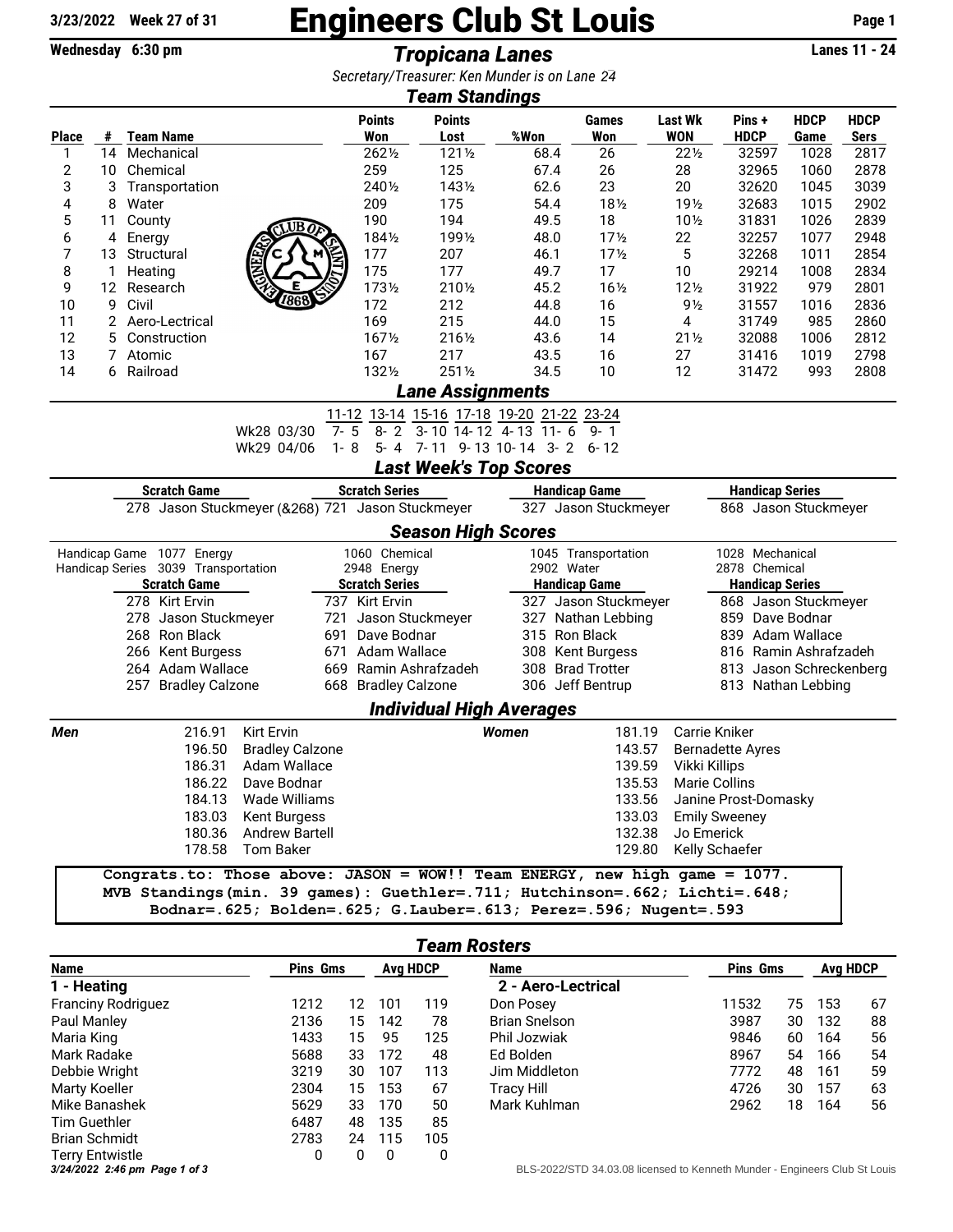## 3/23/2022 Week 27 of 31 **Engineers Club St Louis** Page 1

Wednesday 6:30 pm *Tropicana Lanes* Lanes 11 - 24

*Secretary/Treasurer: Ken Munder is on Lane 17 24*

| Secretary/Treasurer. Ken munder is on Lane-24<br><b>Team Standings</b>                                             |    |                                  |                     |                             |                                    |                       |                                 |                                                                                                                                                      |                 |                                                                            |                                         |                                          |                     |                            |  |  |  |  |
|--------------------------------------------------------------------------------------------------------------------|----|----------------------------------|---------------------|-----------------------------|------------------------------------|-----------------------|---------------------------------|------------------------------------------------------------------------------------------------------------------------------------------------------|-----------------|----------------------------------------------------------------------------|-----------------------------------------|------------------------------------------|---------------------|----------------------------|--|--|--|--|
| <b>Place</b>                                                                                                       | #  |                                  | <b>Team Name</b>    |                             |                                    | <b>Points</b><br>Won  | <b>Points</b><br>Lost           | %Won                                                                                                                                                 |                 | Games<br>Won                                                               | <b>Last Wk</b><br><b>WON</b>            | Pins +<br><b>HDCP</b>                    | <b>HDCP</b><br>Game | <b>HDCP</b><br><b>Sers</b> |  |  |  |  |
| 1                                                                                                                  | 14 |                                  | Mechanical          |                             |                                    | 2621/2                | $121\frac{1}{2}$                |                                                                                                                                                      | 68.4            | 26                                                                         | $22\frac{1}{2}$                         | 32597                                    | 1028                | 2817                       |  |  |  |  |
| 2                                                                                                                  | 10 |                                  | Chemical            |                             |                                    | 259                   | 125                             |                                                                                                                                                      | 67.4            | 26                                                                         | 28                                      | 32965                                    | 1060                | 2878                       |  |  |  |  |
| 3                                                                                                                  | 3  |                                  | Transportation      |                             |                                    | 2401/2                | 1431/2                          |                                                                                                                                                      | 62.6            | 23                                                                         | 20                                      | 32620                                    | 1045                | 3039                       |  |  |  |  |
| 4                                                                                                                  | 8  | Water                            |                     |                             |                                    | 209                   | 175                             |                                                                                                                                                      | 54.4            | 181/2                                                                      | 19 <sub>2</sub>                         | 32683                                    | 1015                | 2902                       |  |  |  |  |
| 5                                                                                                                  | 11 | County                           |                     | <b>UB</b> o                 |                                    | 190                   | 194                             |                                                                                                                                                      | 49.5            | 18                                                                         | $10\frac{1}{2}$                         | 31831                                    | 1026                | 2839                       |  |  |  |  |
| 6                                                                                                                  | 4  | Energy                           |                     |                             |                                    | 1841/2                | 1991/2                          |                                                                                                                                                      | 48.0            | 17 <sub>2</sub>                                                            | 22                                      | 32257                                    | 1077                | 2948                       |  |  |  |  |
| 7                                                                                                                  | 13 | Structural                       |                     |                             | 177                                | 207                   |                                 | 46.1                                                                                                                                                 | 17 <sub>2</sub> | 5                                                                          | 32268                                   | 1011                                     | 2854                |                            |  |  |  |  |
| 8                                                                                                                  | 1  | Heating                          |                     |                             |                                    | 175                   | 177                             |                                                                                                                                                      | 49.7            | 17                                                                         | 10                                      | 29214                                    | 1008                | 2834                       |  |  |  |  |
| 9                                                                                                                  | 12 |                                  | Research            |                             |                                    | 1731/2                | 2101/2                          |                                                                                                                                                      | 45.2            | 161/2                                                                      | $12\frac{1}{2}$                         | 31922                                    | 979                 | 2801                       |  |  |  |  |
| 10                                                                                                                 | 9  | Civil                            |                     |                             |                                    | 172                   | 212                             |                                                                                                                                                      | 44.8            | 16                                                                         | $9\frac{1}{2}$                          | 31557                                    | 1016                | 2836                       |  |  |  |  |
| 11                                                                                                                 | 2  |                                  | Aero-Lectrical      |                             |                                    | 169                   | 215                             |                                                                                                                                                      | 44.0            | 15                                                                         | 4                                       | 31749                                    | 985                 | 2860                       |  |  |  |  |
| 12                                                                                                                 | 5  |                                  | Construction        |                             |                                    | 1671/2                | 2161/2                          |                                                                                                                                                      | 43.6            | 14                                                                         | $21\frac{1}{2}$                         | 32088                                    | 1006                | 2812                       |  |  |  |  |
| 13                                                                                                                 | 7  | Atomic                           |                     |                             |                                    | 167                   | 217                             |                                                                                                                                                      | 43.5            | 16                                                                         | 27                                      | 31416                                    | 1019                | 2798                       |  |  |  |  |
| 14                                                                                                                 | 6  | Railroad                         |                     |                             |                                    | 1321/2                | 2511/2                          |                                                                                                                                                      | 34.5            | 10                                                                         | 12                                      | 31472                                    | 993                 | 2808                       |  |  |  |  |
|                                                                                                                    |    |                                  |                     |                             |                                    |                       | <b>Lane Assignments</b>         |                                                                                                                                                      |                 |                                                                            |                                         |                                          |                     |                            |  |  |  |  |
| 11-12 13-14 15-16 17-18 19-20 21-22 23-24<br>5<br>$8 - 2$<br>3-10 14-12 4-13 11-6<br>$7-$<br>Wk28 03/30<br>$9 - 1$ |    |                                  |                     |                             |                                    |                       |                                 |                                                                                                                                                      |                 |                                                                            |                                         |                                          |                     |                            |  |  |  |  |
|                                                                                                                    |    |                                  |                     | Wk29 04/06                  | $1 - 8$                            |                       | 5- 4 7-11 9-13 10-14 3-2 6-12   |                                                                                                                                                      |                 |                                                                            |                                         |                                          |                     |                            |  |  |  |  |
|                                                                                                                    |    |                                  |                     |                             |                                    |                       | <b>Last Week's Top Scores</b>   |                                                                                                                                                      |                 |                                                                            |                                         |                                          |                     |                            |  |  |  |  |
| <b>Scratch Series</b><br><b>Scratch Game</b><br><b>Handicap Game</b><br><b>Handicap Series</b>                     |    |                                  |                     |                             |                                    |                       |                                 |                                                                                                                                                      |                 |                                                                            |                                         |                                          |                     |                            |  |  |  |  |
| 278 Jason Stuckmeyer (&268) 721 Jason Stuckmeyer<br>327 Jason Stuckmeyer<br>868 Jason Stuckmeyer                   |    |                                  |                     |                             |                                    |                       |                                 |                                                                                                                                                      |                 |                                                                            |                                         |                                          |                     |                            |  |  |  |  |
|                                                                                                                    |    |                                  |                     |                             |                                    |                       | <b>Season High Scores</b>       |                                                                                                                                                      |                 |                                                                            |                                         |                                          |                     |                            |  |  |  |  |
| 1060 Chemical<br>1045 Transportation<br>1028 Mechanical<br>Handicap Game 1077 Energy                               |    |                                  |                     |                             |                                    |                       |                                 |                                                                                                                                                      |                 |                                                                            |                                         |                                          |                     |                            |  |  |  |  |
| Handicap Series 3039 Transportation                                                                                |    |                                  |                     |                             |                                    | 2948 Energy           |                                 | 2902 Water                                                                                                                                           |                 |                                                                            | 2878 Chemical                           |                                          |                     |                            |  |  |  |  |
| <b>Scratch Game</b>                                                                                                |    |                                  |                     |                             |                                    | <b>Scratch Series</b> |                                 | <b>Handicap Game</b>                                                                                                                                 |                 |                                                                            | <b>Handicap Series</b>                  |                                          |                     |                            |  |  |  |  |
| 278 Kirt Ervin                                                                                                     |    |                                  |                     |                             | 737 Kirt Ervin<br>Jason Stuckmeyer |                       |                                 | 327 Jason Stuckmeyer<br>327 Nathan Lebbing                                                                                                           |                 |                                                                            | 868 Jason Stuckmeyer<br>859 Dave Bodnar |                                          |                     |                            |  |  |  |  |
| 278 Jason Stuckmeyer<br>721<br>268 Ron Black<br>691                                                                |    |                                  |                     |                             | Dave Bodnar                        |                       | 315 Ron Black                   |                                                                                                                                                      |                 | 839 Adam Wallace                                                           |                                         |                                          |                     |                            |  |  |  |  |
| 266 Kent Burgess<br>671                                                                                            |    |                                  |                     | Adam Wallace                |                                    |                       | 308 Kent Burgess                | 816 Ramin Ashrafzadeh                                                                                                                                |                 |                                                                            |                                         |                                          |                     |                            |  |  |  |  |
| 264 Adam Wallace                                                                                                   |    |                                  |                     |                             | 669 Ramin Ashrafzadeh              |                       |                                 | 308 Brad Trotter                                                                                                                                     |                 | 813 Jason Schreckenberg                                                    |                                         |                                          |                     |                            |  |  |  |  |
|                                                                                                                    |    |                                  | 257 Bradley Calzone |                             |                                    | 668 Bradley Calzone   |                                 |                                                                                                                                                      |                 | 306 Jeff Bentrup                                                           |                                         | 813 Nathan Lebbing                       |                     |                            |  |  |  |  |
|                                                                                                                    |    |                                  |                     |                             |                                    |                       | <b>Individual High Averages</b> |                                                                                                                                                      |                 |                                                                            |                                         |                                          |                     |                            |  |  |  |  |
|                                                                                                                    |    |                                  |                     |                             |                                    |                       |                                 |                                                                                                                                                      |                 |                                                                            |                                         |                                          |                     |                            |  |  |  |  |
| Men                                                                                                                |    |                                  | 216.91              | <b>Kirt Ervin</b>           |                                    |                       |                                 | Women                                                                                                                                                |                 | 181.19                                                                     |                                         | Carrie Kniker                            |                     |                            |  |  |  |  |
|                                                                                                                    |    | 196.50<br><b>Bradley Calzone</b> |                     |                             |                                    |                       |                                 |                                                                                                                                                      | 143.57          |                                                                            |                                         | <b>Bernadette Ayres</b><br>Vikki Killips |                     |                            |  |  |  |  |
|                                                                                                                    |    |                                  | 186.31              | Adam Wallace<br>Dave Bodnar |                                    |                       |                                 |                                                                                                                                                      |                 | 139.59<br>135.53                                                           |                                         | Marie Collins                            |                     |                            |  |  |  |  |
|                                                                                                                    |    |                                  | 186.22<br>184.13    | Wade Williams               |                                    |                       |                                 |                                                                                                                                                      |                 | 133.56                                                                     |                                         |                                          |                     |                            |  |  |  |  |
|                                                                                                                    |    |                                  | 183.03              | Kent Burgess                |                                    |                       |                                 |                                                                                                                                                      |                 | 133.03                                                                     |                                         | Janine Prost-Domasky                     |                     |                            |  |  |  |  |
| 180.36 Andrew Bartell<br>178.58 Tom Baker                                                                          |    |                                  |                     |                             |                                    |                       |                                 |                                                                                                                                                      | 132.38          |                                                                            | <b>Emily Sweeney</b><br>Jo Emerick      |                                          |                     |                            |  |  |  |  |
|                                                                                                                    |    |                                  |                     |                             |                                    |                       |                                 |                                                                                                                                                      | 129.80          |                                                                            |                                         | Kelly Schaefer                           |                     |                            |  |  |  |  |
|                                                                                                                    |    |                                  |                     |                             |                                    |                       |                                 |                                                                                                                                                      |                 | Congrats.to: Those above: JASON = WOW!! Team ENERGY, new high game = 1077. |                                         |                                          |                     |                            |  |  |  |  |
|                                                                                                                    |    |                                  |                     |                             |                                    |                       |                                 |                                                                                                                                                      |                 |                                                                            |                                         |                                          |                     |                            |  |  |  |  |
|                                                                                                                    |    |                                  |                     |                             |                                    |                       |                                 | MVB Standings(min. 39 games): Guethler=.711; Hutchinson=.662; Lichti=.648;<br>Bodnar=. 625; Bolden=. 625; G. Lauber=. 613; Perez=. 596; Nugent=. 593 |                 |                                                                            |                                         |                                          |                     |                            |  |  |  |  |

| <b>Team Rosters</b>           |                 |                 |     |             |                                                                            |       |                 |     |    |  |  |
|-------------------------------|-----------------|-----------------|-----|-------------|----------------------------------------------------------------------------|-------|-----------------|-----|----|--|--|
| <b>Name</b>                   | <b>Pins Gms</b> | <b>Avg HDCP</b> |     | <b>Name</b> | <b>Pins Gms</b>                                                            |       | <b>Avg HDCP</b> |     |    |  |  |
| - Heating                     |                 |                 |     |             | 2 - Aero-Lectrical                                                         |       |                 |     |    |  |  |
| <b>Franciny Rodriguez</b>     | 1212            | 12              | 101 | 119         | Don Posey                                                                  | 11532 | 75              | 153 | 67 |  |  |
| Paul Manley                   | 2136            | 15              | 142 | 78          | <b>Brian Snelson</b>                                                       | 3987  | 30              | 132 | 88 |  |  |
| Maria King                    | 1433            | 15              | 95  | 125         | Phil Jozwiak                                                               | 9846  | 60              | 164 | 56 |  |  |
| Mark Radake                   | 5688            | 33              | 172 | 48          | Ed Bolden                                                                  | 8967  | 54              | 166 | 54 |  |  |
| Debbie Wright                 | 3219            | 30              | 107 | 113         | Jim Middleton                                                              | 7772  | 48              | 161 | 59 |  |  |
| <b>Marty Koeller</b>          | 2304            | 15              | 153 | 67          | Tracy Hill                                                                 | 4726  | 30              | 157 | 63 |  |  |
| Mike Banashek                 | 5629            | 33              | 170 | 50          | Mark Kuhlman                                                               | 2962  | 18              | 164 | 56 |  |  |
| <b>Tim Guethler</b>           | 6487            | 48              | 135 | 85          |                                                                            |       |                 |     |    |  |  |
| <b>Brian Schmidt</b>          | 2783            | 24              | 115 | 105         |                                                                            |       |                 |     |    |  |  |
| Terry Entwistle               | 0               | 0               | 0   | 0           |                                                                            |       |                 |     |    |  |  |
| 3/24/2022 2:46 pm Page 1 of 3 |                 |                 |     |             | BLS-2022/STD 34.03.08 licensed to Kenneth Munder - Engineers Club St Louis |       |                 |     |    |  |  |